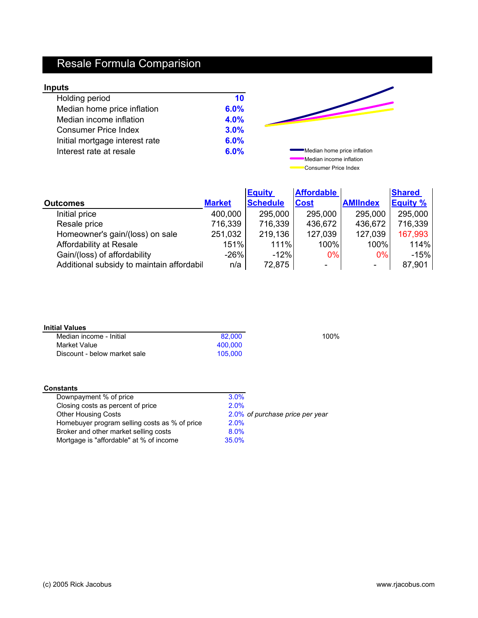# Resale Formula Comparision

### **Inputs**

| puts                           |      |                             |
|--------------------------------|------|-----------------------------|
| Holding period                 | 10   |                             |
| Median home price inflation    | 6.0% |                             |
| Median income inflation        | 4.0% |                             |
| <b>Consumer Price Index</b>    | 3.0% |                             |
| Initial mortgage interest rate | 6.0% |                             |
| Interest rate at resale        | 6.0% | Median home price inflation |
|                                |      | Median income inflation     |

Consumer Price Index  $\overline{\phantom{a}}$ 

|                                           |               | <b>Equity</b>   | <b>Affordable</b>        |                          | <b>Shared</b>   |
|-------------------------------------------|---------------|-----------------|--------------------------|--------------------------|-----------------|
| <b>Outcomes</b>                           | <b>Market</b> | <b>Schedule</b> | <b>Cost</b>              | <b>AMIIndex</b>          | <b>Equity %</b> |
| Initial price                             | 400,000       | 295,000         | 295,000                  | 295,000                  | 295,000         |
| Resale price                              | 716,339       | 716,339         | 436,672                  | 436,672                  | 716,339         |
| Homeowner's gain/(loss) on sale           | 251,032       | 219,136         | 127,039                  | 127,039                  | 167,993         |
| Affordability at Resale                   | 151%          | 111%            | 100%                     | 100%                     | 114%            |
| Gain/(loss) of affordability              | $-26%$        | $-12%$          | $0\%$                    | $0\%$                    | $-15%$          |
| Additional subsidy to maintain affordabil | n/a           | 72,875          | $\overline{\phantom{a}}$ | $\overline{\phantom{a}}$ | 87,901          |

| Median income - Initial      | 82,000  | 100% |
|------------------------------|---------|------|
| Market Value                 | 400.000 |      |
| Discount - below market sale | 105,000 |      |

| <b>Constants</b>                              |                                 |
|-----------------------------------------------|---------------------------------|
| Downpayment % of price                        | 3.0%                            |
| Closing costs as percent of price             | 2.0%                            |
| <b>Other Housing Costs</b>                    | 2.0% of purchase price per year |
| Homebuyer program selling costs as % of price | 2.0%                            |
| Broker and other market selling costs         | 8.0%                            |
| Mortgage is "affordable" at % of income       | 35.0%                           |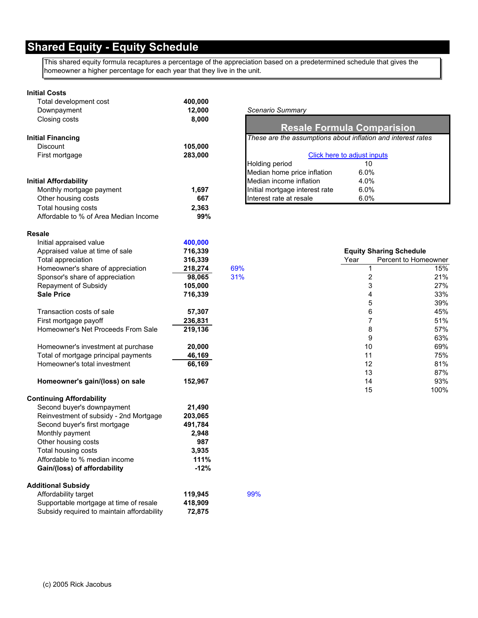This shared equity formula recaptures a percentage of the appreciation based on a predetermined schedule that gives the homeowner a higher percentage for each year that they live in the unit.

#### **Initial Costs**

| Total development cost                | 400,000 |                                                              |                                   |                                |
|---------------------------------------|---------|--------------------------------------------------------------|-----------------------------------|--------------------------------|
| Downpayment                           | 12,000  | Scenario Summary                                             |                                   |                                |
| Closing costs                         | 8,000   |                                                              | <b>Resale Formula Comparision</b> |                                |
| <b>Initial Financing</b>              |         | These are the assumptions about inflation and interest rates |                                   |                                |
| <b>Discount</b>                       | 105,000 |                                                              |                                   |                                |
| First mortgage                        | 283,000 |                                                              | Click here to adjust inputs       |                                |
|                                       |         | Holding period                                               | 10                                |                                |
|                                       |         | Median home price inflation                                  | 6.0%                              |                                |
| <b>Initial Affordability</b>          |         | Median income inflation                                      | 4.0%                              |                                |
| Monthly mortgage payment              | 1,697   | Initial mortgage interest rate                               | 6.0%                              |                                |
| Other housing costs                   | 667     | Interest rate at resale                                      | 6.0%                              |                                |
| Total housing costs                   | 2,363   |                                                              |                                   |                                |
| Affordable to % of Area Median Income | 99%     |                                                              |                                   |                                |
| <b>Resale</b>                         |         |                                                              |                                   |                                |
| Initial appraised value               | 400,000 |                                                              |                                   |                                |
| Appraised value at time of sale       | 716,339 |                                                              |                                   | <b>Equity Sharing Schedule</b> |
| Total appreciation                    | 316,339 |                                                              | Year                              | Percent to Homeowner           |
| Homeowner's share of appreciation     | 218,274 | 69%                                                          |                                   | 15%                            |
| Sponsor's share of appreciation       | 98.065  | 31%                                                          | 2                                 | 21%                            |
| Repayment of Subsidy                  | 105,000 |                                                              | 3                                 | 27%                            |
| <b>Sale Price</b>                     | 716,339 |                                                              | 4                                 | 33%                            |
|                                       |         |                                                              | 5                                 | 39%                            |
| Transaction costs of sale             | 57,307  |                                                              | 6                                 | 45%                            |
| First mortgage payoff                 | 236,831 |                                                              |                                   | 51%                            |
| Homeowner's Net Proceeds From Sale    | 219,136 |                                                              | 8                                 | 57%                            |

| Homeowner's investment at purchase   | 20.000 | 69% |
|--------------------------------------|--------|-----|
| Total of mortgage principal payments | 46.169 | 75% |
| Homeowner's total investment         | 66.169 | 81% |

Homeowner's gain/(loss) on sale 152,967

#### **Continuing Affordability**

| 21,490  |     |
|---------|-----|
| 203,065 |     |
| 491,784 |     |
| 2,948   |     |
| 987     |     |
| 3.935   |     |
| 111%    |     |
| $-12%$  |     |
|         |     |
| 119,945 | 99% |
| 418,909 |     |
| 72,875  |     |
|         |     |

| These are the assumptions about inflation and interest rates<br>Click here to adjust inputs |
|---------------------------------------------------------------------------------------------|
|                                                                                             |
|                                                                                             |
| Holding period<br>10                                                                        |
| Median home price inflation<br>6.0%                                                         |
| Median income inflation<br>4.0%                                                             |
| 6.0%<br>Initial mortgage interest rate                                                      |
| Interest rate at resale<br>6.0%                                                             |

| <b>Equity Sharing Schedule</b> |                      |  |  |
|--------------------------------|----------------------|--|--|
| Year                           | Percent to Homeowner |  |  |
| 1                              | 15%                  |  |  |
| 2                              | 21%                  |  |  |
| 3                              | 27%                  |  |  |
| 4                              | 33%                  |  |  |
| 5                              | 39%                  |  |  |
| 6                              | 45%                  |  |  |
| 7                              | 51%                  |  |  |
| 8                              | 57%                  |  |  |
| 9                              | 63%                  |  |  |
| 10                             | 69%                  |  |  |
| 11                             | 75%                  |  |  |
| 12                             | 81%                  |  |  |
| 13                             | 87%                  |  |  |
| 14                             | 93%                  |  |  |
| 15                             | 100%                 |  |  |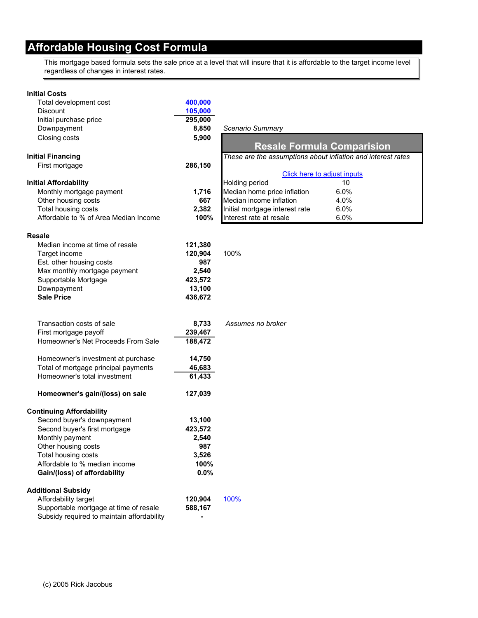### **Affordable Housing Cost Formula**

This mortgage based formula sets the sale price at a level that will insure that it is affordable to the target income level regardless of changes in interest rates.

| <b>Initial Costs</b>                                                 |                  |                                                              |
|----------------------------------------------------------------------|------------------|--------------------------------------------------------------|
| Total development cost                                               | 400,000          |                                                              |
| <b>Discount</b>                                                      | 105,000          |                                                              |
| Initial purchase price                                               | 295,000          |                                                              |
| Downpayment                                                          | 8,850            | Scenario Summary                                             |
| Closing costs                                                        | 5,900            |                                                              |
|                                                                      |                  | <b>Resale Formula Comparision</b>                            |
| <b>Initial Financing</b>                                             |                  | These are the assumptions about inflation and interest rates |
| First mortgage                                                       | 286,150          |                                                              |
|                                                                      |                  | Click here to adjust inputs                                  |
| <b>Initial Affordability</b>                                         |                  | <b>Holding period</b><br>10                                  |
| Monthly mortgage payment                                             | 1,716            | Median home price inflation<br>6.0%                          |
| Other housing costs                                                  | 667              | Median income inflation<br>4.0%                              |
| Total housing costs                                                  | 2,382            | 6.0%<br>Initial mortgage interest rate                       |
| Affordable to % of Area Median Income                                | 100%             | Interest rate at resale<br>6.0%                              |
|                                                                      |                  |                                                              |
| Resale                                                               |                  |                                                              |
| Median income at time of resale                                      | 121,380          |                                                              |
| Target income                                                        | 120,904          | 100%                                                         |
| Est. other housing costs                                             | 987              |                                                              |
| Max monthly mortgage payment                                         | 2,540            |                                                              |
| Supportable Mortgage                                                 | 423,572          |                                                              |
| Downpayment                                                          | 13,100           |                                                              |
| <b>Sale Price</b>                                                    | 436,672          |                                                              |
|                                                                      |                  |                                                              |
|                                                                      |                  |                                                              |
| Transaction costs of sale                                            | 8,733            | Assumes no broker                                            |
| First mortgage payoff                                                | 239,467          |                                                              |
| Homeowner's Net Proceeds From Sale                                   | 188,472          |                                                              |
|                                                                      |                  |                                                              |
| Homeowner's investment at purchase                                   | 14,750           |                                                              |
| Total of mortgage principal payments<br>Homeowner's total investment | 46,683<br>61,433 |                                                              |
|                                                                      |                  |                                                              |
| Homeowner's gain/(loss) on sale                                      | 127,039          |                                                              |
|                                                                      |                  |                                                              |
| <b>Continuing Affordability</b>                                      |                  |                                                              |
| Second buyer's downpayment                                           | 13,100           |                                                              |
| Second buyer's first mortgage                                        | 423,572          |                                                              |
| Monthly payment                                                      | 2,540            |                                                              |
| Other housing costs                                                  | 987              |                                                              |
| Total housing costs                                                  | 3,526            |                                                              |
| Affordable to % median income                                        | 100%             |                                                              |
| Gain/(loss) of affordability                                         | 0.0%             |                                                              |
|                                                                      |                  |                                                              |
| <b>Additional Subsidy</b>                                            |                  |                                                              |
| Affordability target                                                 | 120,904          | 100%                                                         |
| Supportable mortgage at time of resale                               | 588,167          |                                                              |
| Subsidy required to maintain affordability                           |                  |                                                              |